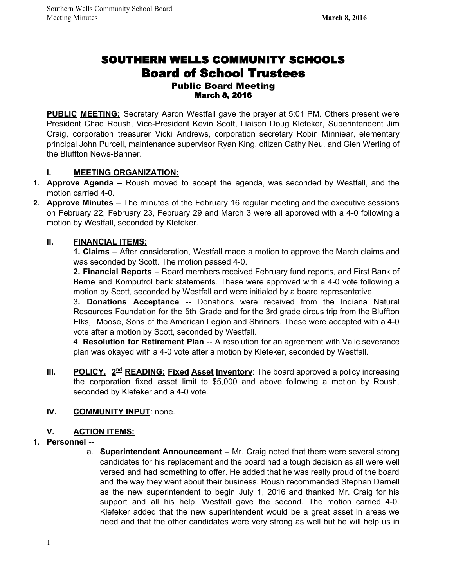# SOUTHERN WELLS COMMUNITY SCHOOLS Board of School Trustees Public Board Meeting

#### March 8, 2016

**PUBLIC MEETING:** Secretary Aaron Westfall gave the prayer at 5:01 PM. Others present were President Chad Roush, Vice-President Kevin Scott, Liaison Doug Klefeker, Superintendent Jim Craig, corporation treasurer Vicki Andrews, corporation secretary Robin Minniear, elementary principal John Purcell, maintenance supervisor Ryan King, citizen Cathy Neu, and Glen Werling of the Bluffton News-Banner.

#### **I. MEETING ORGANIZATION:**

- **1. Approve Agenda –** Roush moved to accept the agenda, was seconded by Westfall, and the motion carried 4-0.
- **2. Approve Minutes** The minutes of the February 16 regular meeting and the executive sessions on February 22, February 23, February 29 and March 3 were all approved with a 40 following a motion by Westfall, seconded by Klefeker.

# **II. FINANCIAL ITEMS:**

**1. Claims** – After consideration, Westfall made a motion to approve the March claims and was seconded by Scott. The motion passed 4-0.

**2. Financial Reports** – Board members received February fund reports, and First Bank of Berne and Komputrol bank statements. These were approved with a 4-0 vote following a motion by Scott, seconded by Westfall and were initialed by a board representative.

3**. Donations Acceptance** Donations were received from the Indiana Natural Resources Foundation for the 5th Grade and for the 3rd grade circus trip from the Bluffton Elks, Moose, Sons of the American Legion and Shriners. These were accepted with a 4-0 vote after a motion by Scott, seconded by Westfall.

4. **Resolution for Retirement Plan** -- A resolution for an agreement with Valic severance plan was okayed with a 4-0 vote after a motion by Klefeker, seconded by Westfall.

**III. POLICY, 2<sup>nd</sup> READING: Fixed Asset Inventory:** The board approved a policy increasing the corporation fixed asset limit to \$5,000 and above following a motion by Roush, seconded by Klefeker and a 4-0 vote.

#### **IV. COMMUNITY INPUT**: none.

# **V. ACTION ITEMS:**

#### **1. Personnel**

a. **Superintendent Announcement –** Mr. Craig noted that there were several strong candidates for his replacement and the board had a tough decision as all were well versed and had something to offer. He added that he was really proud of the board and the way they went about their business. Roush recommended Stephan Darnell as the new superintendent to begin July 1, 2016 and thanked Mr. Craig for his support and all his help. Westfall gave the second. The motion carried 4-0. Klefeker added that the new superintendent would be a great asset in areas we need and that the other candidates were very strong as well but he will help us in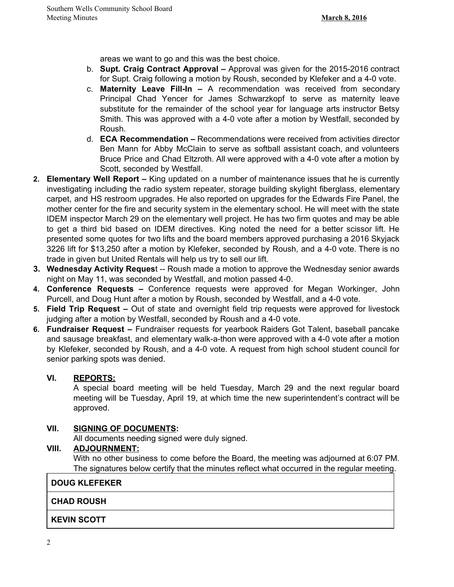areas we want to go and this was the best choice.

- b. **Supt. Craig Contract Approval –** Approval was given for the 2015-2016 contract for Supt. Craig following a motion by Roush, seconded by Klefeker and a 4-0 vote.
- c. **Maternity Leave Fill-In –** A recommendation was received from secondary Principal Chad Yencer for James Schwarzkopf to serve as maternity leave substitute for the remainder of the school year for language arts instructor Betsy Smith. This was approved with a 4-0 vote after a motion by Westfall, seconded by Roush.
- d. **ECA Recommendation –** Recommendations were received from activities director Ben Mann for Abby McClain to serve as softball assistant coach, and volunteers Bruce Price and Chad Eltzroth. All were approved with a 4-0 vote after a motion by Scott, seconded by Westfall.
- **2. Elementary Well Report –** King updated on a number of maintenance issues that he is currently investigating including the radio system repeater, storage building skylight fiberglass, elementary carpet, and HS restroom upgrades. He also reported on upgrades for the Edwards Fire Panel, the mother center for the fire and security system in the elementary school. He will meet with the state IDEM inspector March 29 on the elementary well project. He has two firm quotes and may be able to get a third bid based on IDEM directives. King noted the need for a better scissor lift. He presented some quotes for two lifts and the board members approved purchasing a 2016 Skyjack 3226 lift for \$13,250 after a motion by Klefeker, seconded by Roush, and a 40 vote. There is no trade in given but United Rentals will help us try to sell our lift.
- **3. Wednesday Activity Request** -- Roush made a motion to approve the Wednesday senior awards night on May 11, was seconded by Westfall, and motion passed 4-0.
- **4. Conference Requests –** Conference requests were approved for Megan Workinger, John Purcell, and Doug Hunt after a motion by Roush, seconded by Westfall, and a 4-0 vote.
- **5. Field Trip Request –** Out of state and overnight field trip requests were approved for livestock judging after a motion by Westfall, seconded by Roush and a 4-0 vote.
- **6. Fundraiser Request –** Fundraiser requests for yearbook Raiders Got Talent, baseball pancake and sausage breakfast, and elementary walk-a-thon were approved with a 4-0 vote after a motion by Klefeker, seconded by Roush, and a 4-0 vote. A request from high school student council for senior parking spots was denied.

# **VI. REPORTS:**

A special board meeting will be held Tuesday, March 29 and the next regular board meeting will be Tuesday, April 19, at which time the new superintendent's contract will be approved.

# **VII. SIGNING OF DOCUMENTS:**

All documents needing signed were duly signed.

# **VIII. ADJOURNMENT:**

With no other business to come before the Board, the meeting was adjourned at 6:07 PM. The signatures below certify that the minutes reflect what occurred in the regular meeting.

**DOUG KLEFEKER**

#### **CHAD ROUSH**

# **KEVIN SCOTT**